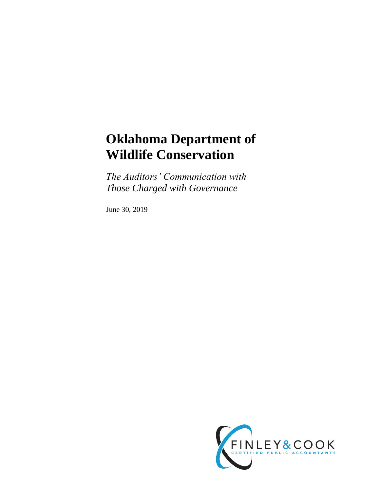# **Oklahoma Department of Wildlife Conservation**

*The Auditors' Communication with Those Charged with Governance*

June 30, 2019

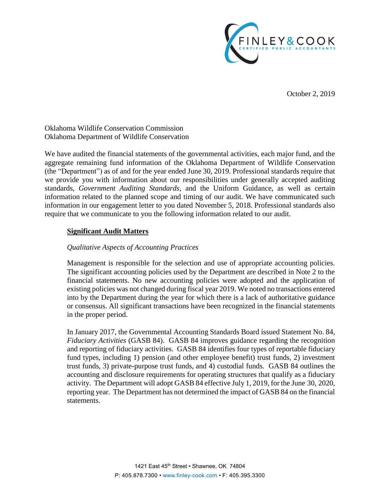

October 2, 2019

Oklahoma Wildlife Conservation Commission Oklahoma Department of Wildlife Conservation

We have audited the financial statements of the governmental activities, each major fund, and the aggregate remaining fund information of the Oklahoma Department of Wildlife Conservation (the "Department") as of and for the year ended June 30, 2019. Professional standards require that we provide you with information about our responsibilities under generally accepted auditing standards, *Government Auditing Standards*, and the Uniform Guidance, as well as certain information related to the planned scope and timing of our audit. We have communicated such information in our engagement letter to you dated November 5, 2018. Professional standards also require that we communicate to you the following information related to our audit.

# **Significant Audit Matters**

## *Qualitative Aspects of Accounting Practices*

Management is responsible for the selection and use of appropriate accounting policies. The significant accounting policies used by the Department are described in Note 2 to the financial statements. No new accounting policies were adopted and the application of existing policies was not changed during fiscal year 2019. We noted no transactions entered into by the Department during the year for which there is a lack of authoritative guidance or consensus. All significant transactions have been recognized in the financial statements in the proper period.

In January 2017, the Governmental Accounting Standards Board issued Statement No. 84, *Fiduciary Activities* (GASB 84). GASB 84 improves guidance regarding the recognition and reporting of fiduciary activities. GASB 84 identifies four types of reportable fiduciary fund types, including 1) pension (and other employee benefit) trust funds, 2) investment trust funds, 3) private-purpose trust funds, and 4) custodial funds. GASB 84 outlines the accounting and disclosure requirements for operating structures that qualify as a fiduciary activity. The Department will adopt GASB 84 effective July 1, 2019, for the June 30, 2020, reporting year. The Department has not determined the impact of GASB 84 on the financial statements.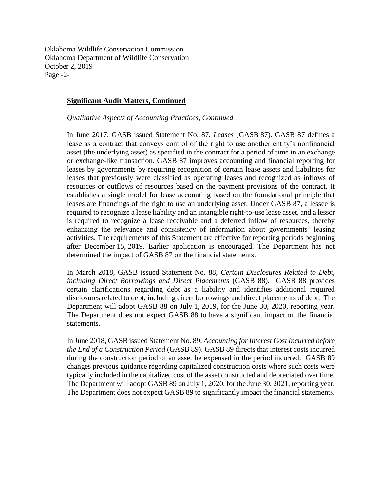Oklahoma Wildlife Conservation Commission Oklahoma Department of Wildlife Conservation October 2, 2019 Page -2-

#### **Significant Audit Matters, Continued**

*Qualitative Aspects of Accounting Practices, Continued*

In June 2017, GASB issued Statement No. 87, *Leases* (GASB 87). GASB 87 defines a lease as a contract that conveys control of the right to use another entity's nonfinancial asset (the underlying asset) as specified in the contract for a period of time in an exchange or exchange-like transaction. GASB 87 improves accounting and financial reporting for leases by governments by requiring recognition of certain lease assets and liabilities for leases that previously were classified as operating leases and recognized as inflows of resources or outflows of resources based on the payment provisions of the contract. It establishes a single model for lease accounting based on the foundational principle that leases are financings of the right to use an underlying asset. Under GASB 87, a lessee is required to recognize a lease liability and an intangible right-to-use lease asset, and a lessor is required to recognize a lease receivable and a deferred inflow of resources, thereby enhancing the relevance and consistency of information about governments' leasing activities. The requirements of this Statement are effective for reporting periods beginning after December 15, 2019. Earlier application is encouraged. The Department has not determined the impact of GASB 87 on the financial statements.

In March 2018, GASB issued Statement No. 88, *Certain Disclosures Related to Debt, including Direct Borrowings and Direct Placements* (GASB 88). GASB 88 provides certain clarifications regarding debt as a liability and identifies additional required disclosures related to debt, including direct borrowings and direct placements of debt. The Department will adopt GASB 88 on July 1, 2019, for the June 30, 2020, reporting year. The Department does not expect GASB 88 to have a significant impact on the financial statements.

In June 2018, GASB issued Statement No. 89, *Accounting for Interest Cost Incurred before the End of a Construction Period* (GASB 89). GASB 89 directs that interest costs incurred during the construction period of an asset be expensed in the period incurred. GASB 89 changes previous guidance regarding capitalized construction costs where such costs were typically included in the capitalized cost of the asset constructed and depreciated over time. The Department will adopt GASB 89 on July 1, 2020, for the June 30, 2021, reporting year. The Department does not expect GASB 89 to significantly impact the financial statements.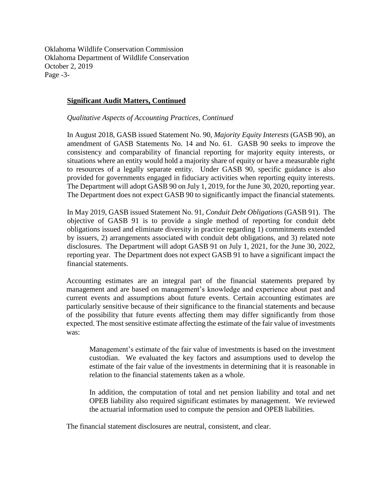Oklahoma Wildlife Conservation Commission Oklahoma Department of Wildlife Conservation October 2, 2019 Page -3-

## **Significant Audit Matters, Continued**

*Qualitative Aspects of Accounting Practices, Continued*

In August 2018, GASB issued Statement No. 90, *Majority Equity Interests* (GASB 90), an amendment of GASB Statements No. 14 and No. 61. GASB 90 seeks to improve the consistency and comparability of financial reporting for majority equity interests, or situations where an entity would hold a majority share of equity or have a measurable right to resources of a legally separate entity. Under GASB 90, specific guidance is also provided for governments engaged in fiduciary activities when reporting equity interests. The Department will adopt GASB 90 on July 1, 2019, for the June 30, 2020, reporting year. The Department does not expect GASB 90 to significantly impact the financial statements.

In May 2019, GASB issued Statement No. 91, *Conduit Debt Obligations* (GASB 91). The objective of GASB 91 is to provide a single method of reporting for conduit debt obligations issued and eliminate diversity in practice regarding 1) commitments extended by issuers, 2) arrangements associated with conduit debt obligations, and 3) related note disclosures. The Department will adopt GASB 91 on July 1, 2021, for the June 30, 2022, reporting year. The Department does not expect GASB 91 to have a significant impact the financial statements.

Accounting estimates are an integral part of the financial statements prepared by management and are based on management's knowledge and experience about past and current events and assumptions about future events. Certain accounting estimates are particularly sensitive because of their significance to the financial statements and because of the possibility that future events affecting them may differ significantly from those expected. The most sensitive estimate affecting the estimate of the fair value of investments was:

Management's estimate of the fair value of investments is based on the investment custodian. We evaluated the key factors and assumptions used to develop the estimate of the fair value of the investments in determining that it is reasonable in relation to the financial statements taken as a whole.

In addition, the computation of total and net pension liability and total and net OPEB liability also required significant estimates by management. We reviewed the actuarial information used to compute the pension and OPEB liabilities.

The financial statement disclosures are neutral, consistent, and clear.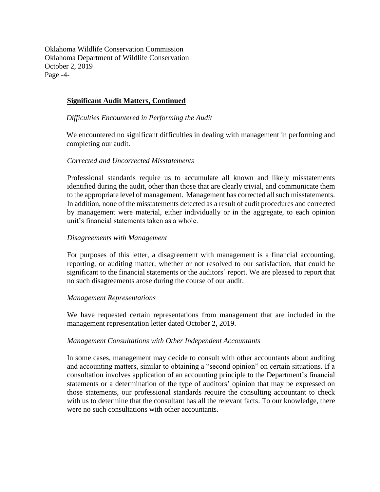Oklahoma Wildlife Conservation Commission Oklahoma Department of Wildlife Conservation October 2, 2019 Page -4-

# **Significant Audit Matters, Continued**

## *Difficulties Encountered in Performing the Audit*

We encountered no significant difficulties in dealing with management in performing and completing our audit.

## *Corrected and Uncorrected Misstatements*

Professional standards require us to accumulate all known and likely misstatements identified during the audit, other than those that are clearly trivial, and communicate them to the appropriate level of management. Management has corrected all such misstatements. In addition, none of the misstatements detected as a result of audit procedures and corrected by management were material, either individually or in the aggregate, to each opinion unit's financial statements taken as a whole.

## *Disagreements with Management*

For purposes of this letter, a disagreement with management is a financial accounting, reporting, or auditing matter, whether or not resolved to our satisfaction, that could be significant to the financial statements or the auditors' report. We are pleased to report that no such disagreements arose during the course of our audit.

#### *Management Representations*

We have requested certain representations from management that are included in the management representation letter dated October 2, 2019.

#### *Management Consultations with Other Independent Accountants*

In some cases, management may decide to consult with other accountants about auditing and accounting matters, similar to obtaining a "second opinion" on certain situations. If a consultation involves application of an accounting principle to the Department's financial statements or a determination of the type of auditors' opinion that may be expressed on those statements, our professional standards require the consulting accountant to check with us to determine that the consultant has all the relevant facts. To our knowledge, there were no such consultations with other accountants.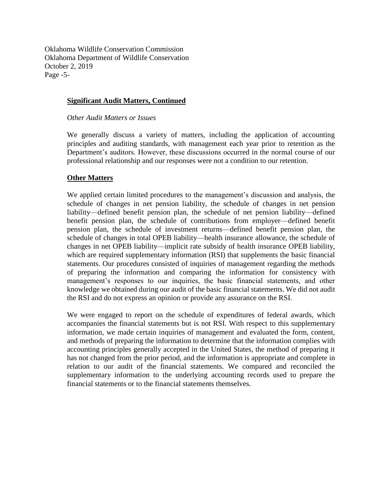Oklahoma Wildlife Conservation Commission Oklahoma Department of Wildlife Conservation October 2, 2019 Page -5-

## **Significant Audit Matters, Continued**

*Other Audit Matters or Issues*

We generally discuss a variety of matters, including the application of accounting principles and auditing standards, with management each year prior to retention as the Department's auditors. However, these discussions occurred in the normal course of our professional relationship and our responses were not a condition to our retention.

## **Other Matters**

We applied certain limited procedures to the management's discussion and analysis, the schedule of changes in net pension liability, the schedule of changes in net pension liability—defined benefit pension plan, the schedule of net pension liability—defined benefit pension plan, the schedule of contributions from employer—defined benefit pension plan, the schedule of investment returns—defined benefit pension plan, the schedule of changes in total OPEB liability—health insurance allowance, the schedule of changes in net OPEB liability—implicit rate subsidy of health insurance OPEB liability, which are required supplementary information (RSI) that supplements the basic financial statements. Our procedures consisted of inquiries of management regarding the methods of preparing the information and comparing the information for consistency with management's responses to our inquiries, the basic financial statements, and other knowledge we obtained during our audit of the basic financial statements. We did not audit the RSI and do not express an opinion or provide any assurance on the RSI.

We were engaged to report on the schedule of expenditures of federal awards, which accompanies the financial statements but is not RSI. With respect to this supplementary information, we made certain inquiries of management and evaluated the form, content, and methods of preparing the information to determine that the information complies with accounting principles generally accepted in the United States, the method of preparing it has not changed from the prior period, and the information is appropriate and complete in relation to our audit of the financial statements. We compared and reconciled the supplementary information to the underlying accounting records used to prepare the financial statements or to the financial statements themselves.